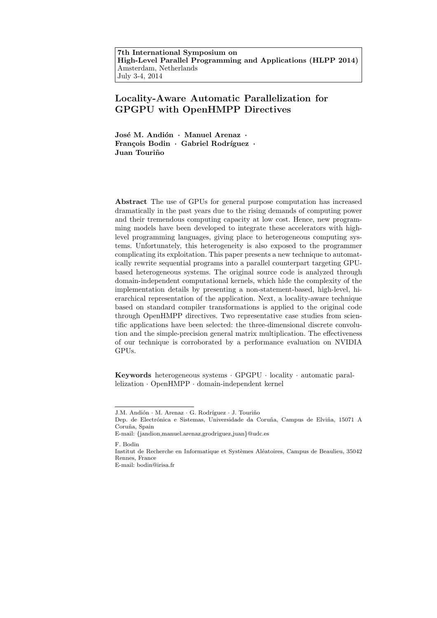7th International Symposium on High-Level Parallel Programming and Applications (HLPP 2014) Amsterdam, Netherlands July 3-4, 2014

# Locality-Aware Automatic Parallelization for GPGPU with OpenHMPP Directives

José M. Andión · Manuel Arenaz · François Bodin · Gabriel Rodríguez · Juan Touriño

Abstract The use of GPUs for general purpose computation has increased dramatically in the past years due to the rising demands of computing power and their tremendous computing capacity at low cost. Hence, new programming models have been developed to integrate these accelerators with highlevel programming languages, giving place to heterogeneous computing systems. Unfortunately, this heterogeneity is also exposed to the programmer complicating its exploitation. This paper presents a new technique to automatically rewrite sequential programs into a parallel counterpart targeting GPUbased heterogeneous systems. The original source code is analyzed through domain-independent computational kernels, which hide the complexity of the implementation details by presenting a non-statement-based, high-level, hierarchical representation of the application. Next, a locality-aware technique based on standard compiler transformations is applied to the original code through OpenHMPP directives. Two representative case studies from scientific applications have been selected: the three-dimensional discrete convolution and the simple-precision general matrix multiplication. The effectiveness of our technique is corroborated by a performance evaluation on NVIDIA GPUs.

Keywords heterogeneous systems · GPGPU · locality · automatic parallelization · OpenHMPP · domain-independent kernel

F. Bodin

Institut de Recherche en Informatique et Systèmes Aléatoires, Campus de Beaulieu, 35042 Rennes, France

E-mail: bodin@irisa.fr

J.M. Andión · M. Arenaz · G. Rodríguez · J. Touriño

Dep. de Electrónica e Sistemas, Universidade da Coruña, Campus de Elviña, 15071 A Coruña, Spain

E-mail: {jandion,manuel.arenaz,grodriguez,juan}@udc.es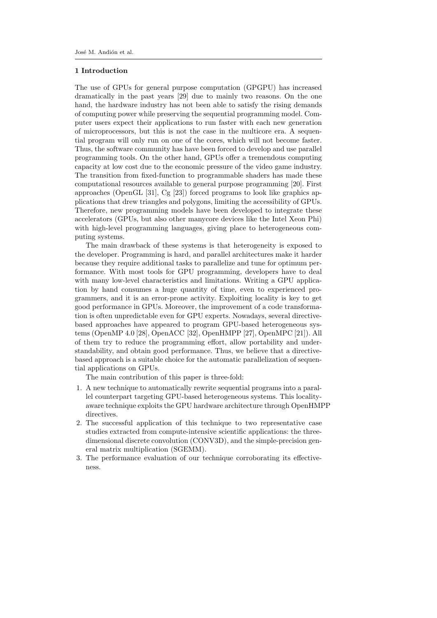# 1 Introduction

The use of GPUs for general purpose computation (GPGPU) has increased dramatically in the past years [29] due to mainly two reasons. On the one hand, the hardware industry has not been able to satisfy the rising demands of computing power while preserving the sequential programming model. Computer users expect their applications to run faster with each new generation of microprocessors, but this is not the case in the multicore era. A sequential program will only run on one of the cores, which will not become faster. Thus, the software community has have been forced to develop and use parallel programming tools. On the other hand, GPUs offer a tremendous computing capacity at low cost due to the economic pressure of the video game industry. The transition from fixed-function to programmable shaders has made these computational resources available to general purpose programming [20]. First approaches (OpenGL [31], Cg [23]) forced programs to look like graphics applications that drew triangles and polygons, limiting the accessibility of GPUs. Therefore, new programming models have been developed to integrate these accelerators (GPUs, but also other manycore devices like the Intel Xeon Phi) with high-level programming languages, giving place to heterogeneous computing systems.

The main drawback of these systems is that heterogeneity is exposed to the developer. Programming is hard, and parallel architectures make it harder because they require additional tasks to parallelize and tune for optimum performance. With most tools for GPU programming, developers have to deal with many low-level characteristics and limitations. Writing a GPU application by hand consumes a huge quantity of time, even to experienced programmers, and it is an error-prone activity. Exploiting locality is key to get good performance in GPUs. Moreover, the improvement of a code transformation is often unpredictable even for GPU experts. Nowadays, several directivebased approaches have appeared to program GPU-based heterogeneous systems (OpenMP 4.0 [28], OpenACC [32], OpenHMPP [27], OpenMPC [21]). All of them try to reduce the programming effort, allow portability and understandability, and obtain good performance. Thus, we believe that a directivebased approach is a suitable choice for the automatic parallelization of sequential applications on GPUs.

The main contribution of this paper is three-fold:

- 1. A new technique to automatically rewrite sequential programs into a parallel counterpart targeting GPU-based heterogeneous systems. This localityaware technique exploits the GPU hardware architecture through OpenHMPP directives.
- 2. The successful application of this technique to two representative case studies extracted from compute-intensive scientific applications: the threedimensional discrete convolution (CONV3D), and the simple-precision general matrix multiplication (SGEMM).
- 3. The performance evaluation of our technique corroborating its effectiveness.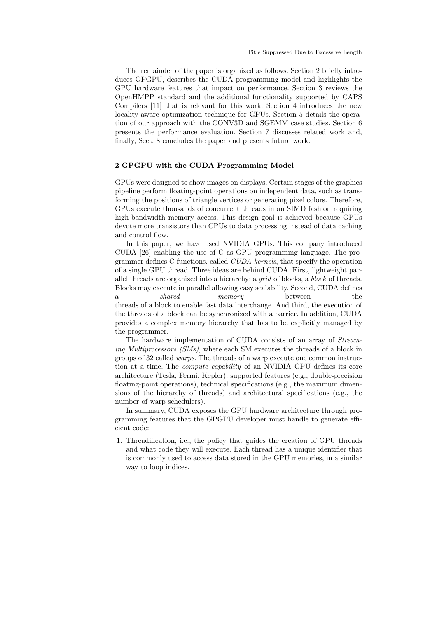The remainder of the paper is organized as follows. Section 2 briefly introduces GPGPU, describes the CUDA programming model and highlights the GPU hardware features that impact on performance. Section 3 reviews the OpenHMPP standard and the additional functionality supported by CAPS Compilers [11] that is relevant for this work. Section 4 introduces the new locality-aware optimization technique for GPUs. Section 5 details the operation of our approach with the CONV3D and SGEMM case studies. Section 6 presents the performance evaluation. Section 7 discusses related work and, finally, Sect. 8 concludes the paper and presents future work.

# 2 GPGPU with the CUDA Programming Model

GPUs were designed to show images on displays. Certain stages of the graphics pipeline perform floating-point operations on independent data, such as transforming the positions of triangle vertices or generating pixel colors. Therefore, GPUs execute thousands of concurrent threads in an SIMD fashion requiring high-bandwidth memory access. This design goal is achieved because GPUs devote more transistors than CPUs to data processing instead of data caching and control flow.

In this paper, we have used NVIDIA GPUs. This company introduced CUDA [26] enabling the use of C as GPU programming language. The programmer defines C functions, called CUDA kernels, that specify the operation of a single GPU thread. Three ideas are behind CUDA. First, lightweight parallel threads are organized into a hierarchy: a grid of blocks, a block of threads. Blocks may execute in parallel allowing easy scalability. Second, CUDA defines a *shared memory* between the threads of a block to enable fast data interchange. And third, the execution of the threads of a block can be synchronized with a barrier. In addition, CUDA provides a complex memory hierarchy that has to be explicitly managed by the programmer.

The hardware implementation of CUDA consists of an array of Streaming Multiprocessors (SMs), where each SM executes the threads of a block in groups of 32 called warps. The threads of a warp execute one common instruction at a time. The compute capability of an NVIDIA GPU defines its core architecture (Tesla, Fermi, Kepler), supported features (e.g., double-precision floating-point operations), technical specifications (e.g., the maximum dimensions of the hierarchy of threads) and architectural specifications (e.g., the number of warp schedulers).

In summary, CUDA exposes the GPU hardware architecture through programming features that the GPGPU developer must handle to generate efficient code:

1. Threadification, i.e., the policy that guides the creation of GPU threads and what code they will execute. Each thread has a unique identifier that is commonly used to access data stored in the GPU memories, in a similar way to loop indices.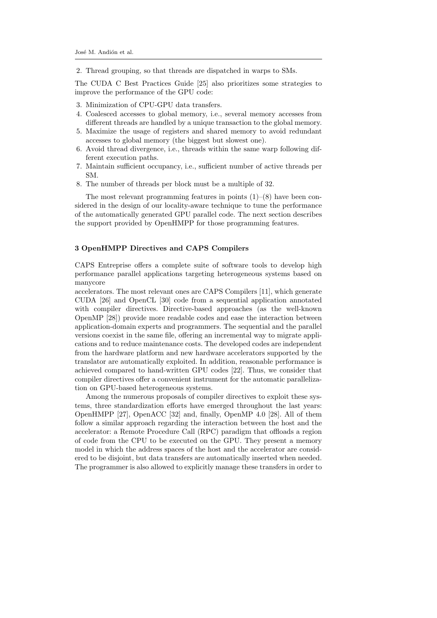2. Thread grouping, so that threads are dispatched in warps to SMs.

The CUDA C Best Practices Guide [25] also prioritizes some strategies to improve the performance of the GPU code:

- 3. Minimization of CPU-GPU data transfers.
- 4. Coalesced accesses to global memory, i.e., several memory accesses from different threads are handled by a unique transaction to the global memory.
- 5. Maximize the usage of registers and shared memory to avoid redundant accesses to global memory (the biggest but slowest one).
- 6. Avoid thread divergence, i.e., threads within the same warp following different execution paths.
- 7. Maintain sufficient occupancy, i.e., sufficient number of active threads per SM.
- 8. The number of threads per block must be a multiple of 32.

The most relevant programming features in points  $(1)$ – $(8)$  have been considered in the design of our locality-aware technique to tune the performance of the automatically generated GPU parallel code. The next section describes the support provided by OpenHMPP for those programming features.

## 3 OpenHMPP Directives and CAPS Compilers

CAPS Entreprise offers a complete suite of software tools to develop high performance parallel applications targeting heterogeneous systems based on manycore

accelerators. The most relevant ones are CAPS Compilers [11], which generate CUDA [26] and OpenCL [30] code from a sequential application annotated with compiler directives. Directive-based approaches (as the well-known OpenMP [28]) provide more readable codes and ease the interaction between application-domain experts and programmers. The sequential and the parallel versions coexist in the same file, offering an incremental way to migrate applications and to reduce maintenance costs. The developed codes are independent from the hardware platform and new hardware accelerators supported by the translator are automatically exploited. In addition, reasonable performance is achieved compared to hand-written GPU codes [22]. Thus, we consider that compiler directives offer a convenient instrument for the automatic parallelization on GPU-based heterogeneous systems.

Among the numerous proposals of compiler directives to exploit these systems, three standardization efforts have emerged throughout the last years: OpenHMPP [27], OpenACC [32] and, finally, OpenMP 4.0 [28]. All of them follow a similar approach regarding the interaction between the host and the accelerator: a Remote Procedure Call (RPC) paradigm that offloads a region of code from the CPU to be executed on the GPU. They present a memory model in which the address spaces of the host and the accelerator are considered to be disjoint, but data transfers are automatically inserted when needed. The programmer is also allowed to explicitly manage these transfers in order to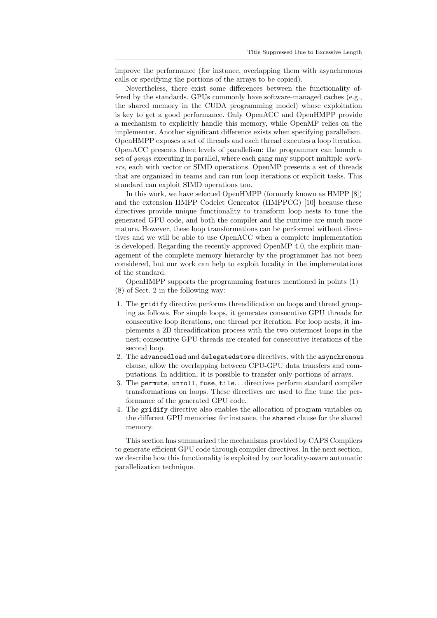improve the performance (for instance, overlapping them with asynchronous calls or specifying the portions of the arrays to be copied).

Nevertheless, there exist some differences between the functionality offered by the standards. GPUs commonly have software-managed caches (e.g., the shared memory in the CUDA programming model) whose exploitation is key to get a good performance. Only OpenACC and OpenHMPP provide a mechanism to explicitly handle this memory, while OpenMP relies on the implementer. Another significant difference exists when specifying parallelism. OpenHMPP exposes a set of threads and each thread executes a loop iteration. OpenACC presents three levels of parallelism: the programmer can launch a set of *gangs* executing in parallel, where each gang may support multiple *work*ers, each with vector or SIMD operations. OpenMP presents a set of threads that are organized in teams and can run loop iterations or explicit tasks. This standard can exploit SIMD operations too.

In this work, we have selected OpenHMPP (formerly known as HMPP [8]) and the extension HMPP Codelet Generator (HMPPCG) [10] because these directives provide unique functionality to transform loop nests to tune the generated GPU code, and both the compiler and the runtime are much more mature. However, these loop transformations can be performed without directives and we will be able to use OpenACC when a complete implementation is developed. Regarding the recently approved OpenMP 4.0, the explicit management of the complete memory hierarchy by the programmer has not been considered, but our work can help to exploit locality in the implementations of the standard.

OpenHMPP supports the programming features mentioned in points (1)– (8) of Sect. 2 in the following way:

- 1. The gridify directive performs threadification on loops and thread grouping as follows. For simple loops, it generates consecutive GPU threads for consecutive loop iterations, one thread per iteration. For loop nests, it implements a 2D threadification process with the two outermost loops in the nest; consecutive GPU threads are created for consecutive iterations of the second loop.
- 2. The advancedload and delegatedstore directives, with the asynchronous clause, allow the overlapping between CPU-GPU data transfers and computations. In addition, it is possible to transfer only portions of arrays.
- 3. The permute, unroll, fuse, tile. . . directives perform standard compiler transformations on loops. These directives are used to fine tune the performance of the generated GPU code.
- 4. The gridify directive also enables the allocation of program variables on the different GPU memories: for instance, the shared clause for the shared memory.

This section has summarized the mechanisms provided by CAPS Compilers to generate efficient GPU code through compiler directives. In the next section, we describe how this functionality is exploited by our locality-aware automatic parallelization technique.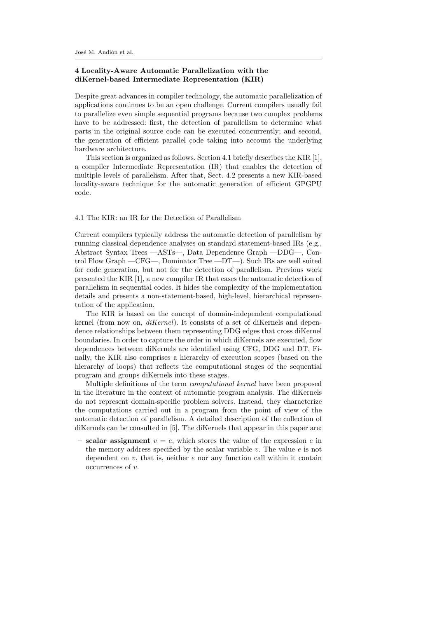# 4 Locality-Aware Automatic Parallelization with the diKernel-based Intermediate Representation (KIR)

Despite great advances in compiler technology, the automatic parallelization of applications continues to be an open challenge. Current compilers usually fail to parallelize even simple sequential programs because two complex problems have to be addressed: first, the detection of parallelism to determine what parts in the original source code can be executed concurrently; and second, the generation of efficient parallel code taking into account the underlying hardware architecture.

This section is organized as follows. Section 4.1 briefly describes the KIR [1], a compiler Intermediate Representation (IR) that enables the detection of multiple levels of parallelism. After that, Sect. 4.2 presents a new KIR-based locality-aware technique for the automatic generation of efficient GPGPU code.

#### 4.1 The KIR: an IR for the Detection of Parallelism

Current compilers typically address the automatic detection of parallelism by running classical dependence analyses on standard statement-based IRs (e.g., Abstract Syntax Trees —ASTs—, Data Dependence Graph —DDG—, Control Flow Graph —CFG—, Dominator Tree —DT—). Such IRs are well suited for code generation, but not for the detection of parallelism. Previous work presented the KIR [1], a new compiler IR that eases the automatic detection of parallelism in sequential codes. It hides the complexity of the implementation details and presents a non-statement-based, high-level, hierarchical representation of the application.

The KIR is based on the concept of domain-independent computational kernel (from now on, diKernel). It consists of a set of diKernels and dependence relationships between them representing DDG edges that cross diKernel boundaries. In order to capture the order in which diKernels are executed, flow dependences between diKernels are identified using CFG, DDG and DT. Finally, the KIR also comprises a hierarchy of execution scopes (based on the hierarchy of loops) that reflects the computational stages of the sequential program and groups diKernels into these stages.

Multiple definitions of the term computational kernel have been proposed in the literature in the context of automatic program analysis. The diKernels do not represent domain-specific problem solvers. Instead, they characterize the computations carried out in a program from the point of view of the automatic detection of parallelism. A detailed description of the collection of diKernels can be consulted in [5]. The diKernels that appear in this paper are:

– scalar assignment  $v = e$ , which stores the value of the expression e in the memory address specified by the scalar variable  $v$ . The value  $e$  is not dependent on  $v$ , that is, neither  $e$  nor any function call within it contain occurrences of v.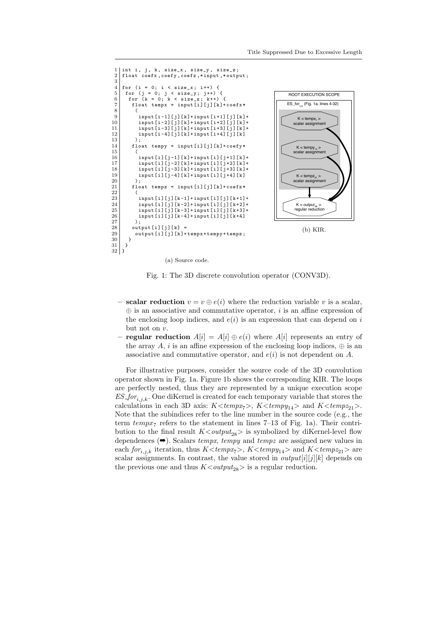

(a) Source code.

Fig. 1: The 3D discrete convolution operator (CONV3D).

- scalar reduction  $v = v \oplus e(i)$  where the reduction variable v is a scalar,  $\oplus$  is an associative and commutative operator, i is an affine expression of the enclosing loop indices, and  $e(i)$  is an expression that can depend on i but not on v.
- regular reduction  $A[i] = A[i] \oplus e(i)$  where  $A[i]$  represents an entry of the array  $A$ , i is an affine expression of the enclosing loop indices,  $\oplus$  is an associative and commutative operator, and  $e(i)$  is not dependent on  $A$ .

For illustrative purposes, consider the source code of the 3D convolution operator shown in Fig. 1a. Figure 1b shows the corresponding KIR. The loops are perfectly nested, thus they are represented by a unique execution scope  $ES_f \text{or}_{i,j,k}$ . One diKernel is created for each temporary variable that stores the calculations in each 3D axis:  $K \leq temp_{\tau_7} > K \leq temp_{14} >$  and  $K \leq temp_{21} > K$ . Note that the subindices refer to the line number in the source code (e.g., the term  $tempx_7$  refers to the statement in lines 7–13 of Fig. 1a). Their contribution to the final result  $K < output_{28} >$  is symbolized by diKernel-level flow dependences  $(\rightarrow)$ . Scalars *tempx*, *tempy* and *tempz* are assigned new values in each for<sub>i,j,k</sub> iteration, thus  $K \leq tempx_7$ ,  $K \leq tempy_{14}$  and  $K \leq tempz_{21}$  are scalar assignments. In contrast, the value stored in *output*[i][j][k] depends on the previous one and thus  $K < output_{28} >$  is a regular reduction.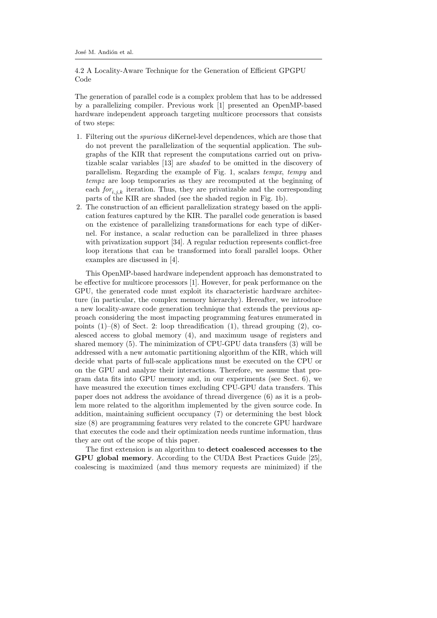4.2 A Locality-Aware Technique for the Generation of Efficient GPGPU Code

The generation of parallel code is a complex problem that has to be addressed by a parallelizing compiler. Previous work [1] presented an OpenMP-based hardware independent approach targeting multicore processors that consists of two steps:

- 1. Filtering out the spurious diKernel-level dependences, which are those that do not prevent the parallelization of the sequential application. The subgraphs of the KIR that represent the computations carried out on privatizable scalar variables [13] are shaded to be omitted in the discovery of parallelism. Regarding the example of Fig. 1, scalars tempx, tempy and tempz are loop temporaries as they are recomputed at the beginning of each  $for_{i,j,k}$  iteration. Thus, they are privatizable and the corresponding parts of the KIR are shaded (see the shaded region in Fig. 1b).
- 2. The construction of an efficient parallelization strategy based on the application features captured by the KIR. The parallel code generation is based on the existence of parallelizing transformations for each type of diKernel. For instance, a scalar reduction can be parallelized in three phases with privatization support [34]. A regular reduction represents conflict-free loop iterations that can be transformed into forall parallel loops. Other examples are discussed in [4].

This OpenMP-based hardware independent approach has demonstrated to be effective for multicore processors [1]. However, for peak performance on the GPU, the generated code must exploit its characteristic hardware architecture (in particular, the complex memory hierarchy). Hereafter, we introduce a new locality-aware code generation technique that extends the previous approach considering the most impacting programming features enumerated in points  $(1)$ – $(8)$  of Sect. 2: loop threadification  $(1)$ , thread grouping  $(2)$ , coalesced access to global memory (4), and maximum usage of registers and shared memory (5). The minimization of CPU-GPU data transfers (3) will be addressed with a new automatic partitioning algorithm of the KIR, which will decide what parts of full-scale applications must be executed on the CPU or on the GPU and analyze their interactions. Therefore, we assume that program data fits into GPU memory and, in our experiments (see Sect. 6), we have measured the execution times excluding CPU-GPU data transfers. This paper does not address the avoidance of thread divergence (6) as it is a problem more related to the algorithm implemented by the given source code. In addition, maintaining sufficient occupancy (7) or determining the best block size (8) are programming features very related to the concrete GPU hardware that executes the code and their optimization needs runtime information, thus they are out of the scope of this paper.

The first extension is an algorithm to detect coalesced accesses to the GPU global memory. According to the CUDA Best Practices Guide [25], coalescing is maximized (and thus memory requests are minimized) if the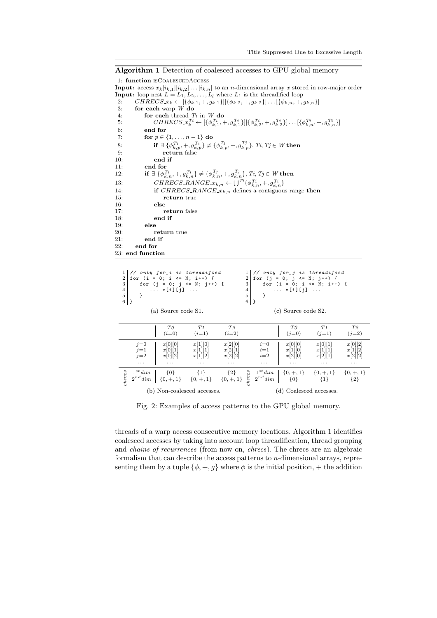(d) Coalesced accesses.

Algorithm 1 Detection of coalesced accesses to GPU global memory

1: function isCoalescedAccess **Input:** access  $x_k[i_{k,1}][i_{k,2}] \ldots [i_{k,n}]$  to an *n*-dimensional array x stored in row-major order **Input:** loop nest  $L = L_1, L_2, \ldots, L_l$  where  $L_1$  is the threadified loop 2:  $CHRECS x_k \leftarrow {\begin{bmatrix} {\begin{bmatrix} a_{k+1}, + a_{k+1} \end{bmatrix}} {\begin{bmatrix} a_{k+2}, + a_{k+2} \end{bmatrix}} {\begin{bmatrix} a_{k+1}, + a_{k+2} \end{bmatrix}} {\begin{bmatrix} a_{k+1}, + a_{k+2} \end{bmatrix}} {\begin{bmatrix} a_{k+1}, + a_{k+2} \end{bmatrix}}$ 2:  $CHRECS.x_k \leftarrow [{\phi_{k,1}, +, g_{k,1}}][{\phi_{k,2}, +, g_{k,2}}] \dots [{\phi_{k,n}, +, g_{k,n}}]$ <br>3: for each warp W do 3: **for each** warp  $W$  **do** 4: **for each** thread  $T$ 4: **for each** thread  $Ti$  in  $W$  do 5:  $\text{CHRECS}_{x_k}^{Ti} \leftarrow [\{\phi_{k,1}^{T_i}, +, g_{k,1}^{T_i}\}][\{\phi_{k,2}^{T_i}, +, g_{k,2}^{T_i}\}]\dots[\{\phi_{k,n}^{T_i}, +, g_{k,n}^{T_i}\}]$ 6: end for 7: **for**  $p \in \{1, ..., n-1\}$  do 8:  $\qquad \qquad \textbf{if } \exists \; \{\phi_{k,p}^{Ti}, +, g_{k,p}^{Ti}\} \neq \{\phi_{k,p}^{Tj}, +, g_{k,p}^{Tj}\}, \; Ti, \; Tj \in \textit{W} \; \textbf{then}$ 9: return false 10: end if 11: end for 12:  $\qquad\qquad\textbf{if } \exists\,\,\{\phi_{k,n}^{Ti},+,g_{k,n}^{Ti}\}\neq\{\phi_{k,n}^{Tj},+,g_{k,n}^{Tj}\},\, Ti,\,Tj\in\,W\,\textbf{then}$ 13:  $\text{CHRECS\_RANGE}_{x_k, n} \leftarrow \bigcup^{T_i} \{ \phi_{k,n}^{T_i}, +, g_{k,n}^{T_i} \}$ 14: **if** CHRECS\_RANGE\_ $x_{k,n}$  defines a contiguous range **then** 15: return true 16: else 17: **return** false 18: end if 19: else 20: return true<br>21: end if end if 22: end for 23: end function  $2 \left\{ \begin{array}{ll} 1 \ \text{for} \ \text{in} \ \text{in} \ \text{in} \ \text{in} \ \text{in} \ \text{in} \ \text{in} \ \text{in} \ \text{in} \ \text{in} \ \text{in} \ \text{in} \ \text{in} \ \text{in} \ \text{in} \ \text{in} \ \text{in} \ \text{in} \ \text{in} \ \text{in} \ \text{in} \ \text{in} \ \text{in} \ \text{in} \ \text{in} \ \text{in} \ \text{in} \ \text{in} \ \text{in} \ \text{in} \ \text{in} \ \text{in} \ \text{in} \ \$ 2 for (i = 0; i <= N; i<br>
for (j = 0; j <= N<br>  $\frac{1}{4}$  ...  $x[i][j]$  ...  $\begin{bmatrix} 5 \\ 6 \end{bmatrix}$  } (a) Source code S1.  $T0$   $T1$   $T2$ <br> $(i=0)$   $(i=1)$   $(i=2)$  $(i=1)$  $j=0$   $x[0][0]$   $x[1][0]$   $x[2][0]$ <br>  $j=1$   $x[0][1]$   $x[1][1]$   $x[2][1]$  $j=2$   $x[0][2]$   $x[1][2]$   $x[2][2]$ . . . . . . . . . . . . chrecs  $1^{st}$  dim | {0} {1} {2}  $2^{nd}$  dim {0} {1} {2}<br>
{0, +, 1} {0, +, 1} {0, +, 1}  $\begin{array}{l} 1 \ 1 \ 1 \end{array}$  // only  $for\_j$  is threadified<br>  $\begin{array}{l} 2 \ 3 \end{array}$  for (i = 0; i <= N; i++) {<br>  $\begin{array}{l} 3 \end{array}$  $\ldots$   $x[i][j]$   $\ldots$  $\begin{bmatrix} 5 \\ 6 \end{bmatrix}$  } (c) Source code S2.  $T0$   $T1$   $T2$ <br> $(j=0)$   $(j=1)$   $(j=2)$  $(j=1)$  $\begin{array}{c|c} i=0 & x[0][0] & x[0][1] & x[0][2] \ i=1 & x[1][0] & x[1][1] & x[1][2] \end{array}$  $i=2$   $x[2][0]$   $x[2][1]$   $x[2][2]$ . . . . . . . . . . . .  $thres$  $1^{st}$  dim  ${0, +, 1}$   ${0, +, 1}$   ${0, +, 1}$  $2^{nd}$  dim  $\{0\}$  {1} {2}

(b) Non-coalesced accesses.

Fig. 2: Examples of access patterns to the GPU global memory.

threads of a warp access consecutive memory locations. Algorithm 1 identifies coalesced accesses by taking into account loop threadification, thread grouping and chains of recurrences (from now on, chrecs). The chrecs are an algebraic formalism that can describe the access patterns to n-dimensional arrays, representing them by a tuple  $\{\phi, +, g\}$  where  $\phi$  is the initial position, + the addition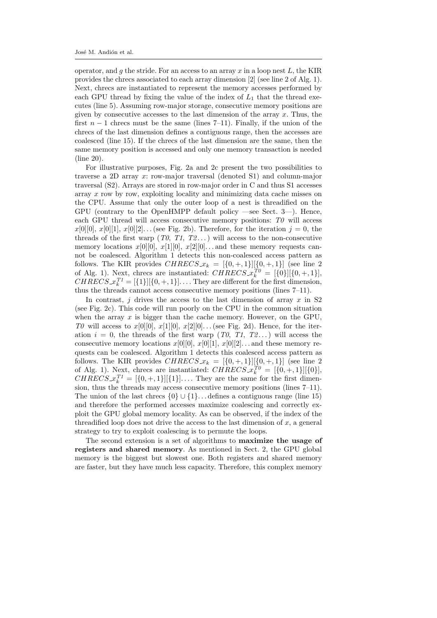operator, and q the stride. For an access to an array x in a loop nest  $L$ , the KIR provides the chrecs associated to each array dimension [2] (see line 2 of Alg. 1). Next, chrecs are instantiated to represent the memory accesses performed by each GPU thread by fixing the value of the index of  $L_1$  that the thread executes (line 5). Assuming row-major storage, consecutive memory positions are given by consecutive accesses to the last dimension of the array  $x$ . Thus, the first  $n-1$  chrecs must be the same (lines 7–11). Finally, if the union of the chrecs of the last dimension defines a contiguous range, then the accesses are coalesced (line 15). If the chrecs of the last dimension are the same, then the same memory position is accessed and only one memory transaction is needed (line 20).

For illustrative purposes, Fig. 2a and 2c present the two possibilities to traverse a 2D array x: row-major traversal (denoted S1) and column-major traversal (S2). Arrays are stored in row-major order in C and thus S1 accesses array  $x$  row by row, exploiting locality and minimizing data cache misses on the CPU. Assume that only the outer loop of a nest is threadified on the GPU (contrary to the OpenHMPP default policy —see Sect. 3—). Hence, each GPU thread will access consecutive memory positions:  $T\theta$  will access  $x[0][0], x[0][1], x[0][2]...$  (see Fig. 2b). Therefore, for the iteration  $j = 0$ , the threads of the first warp  $(T0, T1, T2...)$  will access to the non-consecutive memory locations  $x[0][0], x[1][0], x[2][0]$ ... and these memory requests cannot be coalesced. Algorithm 1 detects this non-coalesced access pattern as follows. The KIR provides  $CHRECS x_k = [{0, +, 1}]$ [ ${0, +, 1}$ ] (see line 2 of Alg. 1). Next, chrecs are instantiated:  $CHRECS \text{L}_k^{T0} = [\{0\}][\{0, +, 1\}],$  $CHRECS \_\_\kappa^{T1} = [{1}][{0, +, 1}] \dots$  They are different for the first dimension, thus the threads cannot access consecutive memory positions (lines 7–11).

In contrast,  $j$  drives the access to the last dimension of array  $x$  in S2 (see Fig. 2c). This code will run poorly on the CPU in the common situation when the array  $x$  is bigger than the cache memory. However, on the GPU, T0 will access to  $x[0][0], x[1][0], x[2][0] \dots$  (see Fig. 2d). Hence, for the iteration  $i = 0$ , the threads of the first warp  $(T0, T1, T2...)$  will access the consecutive memory locations  $x[0][0], x[0][1], x[0][2]$ ... and these memory requests can be coalesced. Algorithm 1 detects this coalesced access pattern as follows. The KIR provides  $CHRECS x_k = [{0, +, 1}]$  (see line 2 of Alg. 1). Next, chrecs are instantiated:  $CHRECS_x_x^{T0} = [\{0, +, 1\}][\{0\}],$  $CHRECS \nightharpoonup_k^{T_1} = [{0, +, 1}]][{1}]. \n\dots$  They are the same for the first dimension, thus the threads may access consecutive memory positions (lines 7–11). The union of the last chrecs  $\{0\} \cup \{1\} \dots$  defines a contiguous range (line 15) and therefore the performed accesses maximize coalescing and correctly exploit the GPU global memory locality. As can be observed, if the index of the threadified loop does not drive the access to the last dimension of  $x$ , a general strategy to try to exploit coalescing is to permute the loops.

The second extension is a set of algorithms to maximize the usage of registers and shared memory. As mentioned in Sect. 2, the GPU global memory is the biggest but slowest one. Both registers and shared memory are faster, but they have much less capacity. Therefore, this complex memory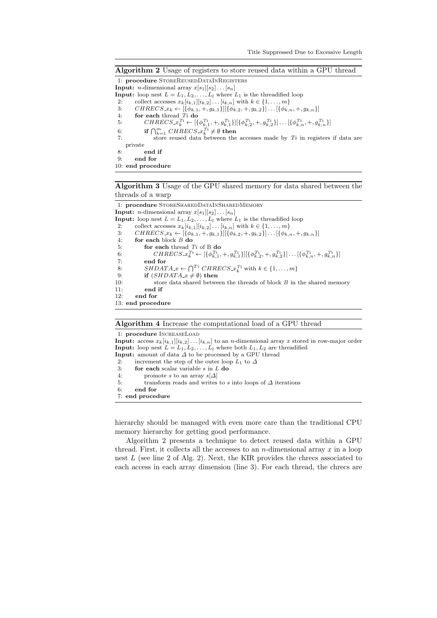Algorithm 2 Usage of registers to store reused data within a GPU thread

1: procedure StoreReusedDataInRegisters **Input:** *n*-dimensional array  $x[s_1][s_2] \dots [s_n]$ **Input:** loop nest  $L = L_1, L_2, \ldots, L_l$  where  $L_1$  is the threadified loop 2: collect accesses  $x_k[i_{k,1}][i_{k,2}] \dots [i_{k,n}]$  with  $k \in \{1, \dots, m\}$ 3:  $CHRECS_x_k \leftarrow [{\phi_{k,1}, +, g_{k,1}}][{\phi_{k,2}, +, g_{k,2}}] \dots [{\phi_{k,n}, +, g_{k,n}}]$ 4: for each thread  $Ti$  do 5:  $CHRECS_x I_k^{T_i} \leftarrow [{\phi}_{k,1}^{T_i}, +, g_{k,1}^{T_i}][{\phi}_{k,2}^{T_i}, +, g_{k,2}^{T_i}]{\dots}[\{\phi_{k,n}^{T_i}, +, g_{k,n}^{T_i}\}]$ 6: if  $\bigcap_{k=1}^m \mathit{CHRECS}\xspace x_k^{\mathit{T}_i} \neq \emptyset$  then 7: store reused data between the accesses made by  $Ti$  in registers if data are private  $8:$  end if  $9:$  end for end for 10: end procedure

Algorithm 3 Usage of the GPU shared memory for data shared between the threads of a warp

1: procedure StoreSharedDataInSharedMemory **Input:** *n*-dimensional array  $x[s_1][s_2] \dots [s_n]$ **Input:** loop nest  $L = L_1, L_2, \ldots, L_l$  where  $L_1$  is the threadified loop 2: collect accesses  $x_k[i_{k,1}][i_{k,2}] \dots [i_{k,n}]$  with  $k \in \{1, \dots, m\}$ <br>3:  $CHRECS \, x_k \leftarrow [\{\phi_{k,1}, +, q_{k,1}\}][\{\phi_{k,2}, +, q_{k,2}\}] \dots [\{\phi_{k,n}\}$  $CHRECS x_k \leftarrow [\{\phi_{k,1}, +, g_{k,1}\}] [\{\phi_{k,2}, +, g_{k,2}\}] \dots [\{\phi_{k,n}, +, g_{k,n}\}]$ 4: for each block  $B$  do 5: for each thread  $T$ for each thread  $Ti$  of B do 6:  $\text{CHRECS}_{x_k}^{T_i} \leftarrow [\{\phi_{k,1}^{T_i}, +, g_{k,1}^{T_i}\}][\{\phi_{k,2}^{T_i}, +, g_{k,2}^{T_i}\}]\dots[\{\phi_{k,n}^{T_i}, +, g_{k,n}^{T_i}\}]$ 7: end for 8:  $SHDATA_x \leftarrow \bigcap^{T_i} CHRECS_x \, x_k^{T_i}$  with  $k \in \{1, \ldots, m\}$ 9: if  $(SHDATA_x \neq \emptyset)$  then 10: store data shared between the threads of block B in the shared memory  $11:$  end if 12: end for 13: end procedure

Algorithm 4 Increase the computational load of a GPU thread

1: procedure INCREASELOAD **Input:** access  $x_k[i_{k,1}][i_{k,2}] \ldots [i_{k,n}]$  to an *n*-dimensional array x stored in row-major order **Input:** loop nest  $L = L_1, L_2, \ldots, L_l$  where both  $L_1, L_2$  are threadified Input: amount of data  $\Delta$  to be processed by a GPU thread 2: increment the step of the outer loop  $L_1$  to  $\Delta$ <br>3: **for each** scalar variable s in L **do** for each scalar variable  $s$  in  $L$  do 4: promote s to an array  $s[\Delta]$ 5: transform reads and writes to s into loops of  $\Delta$  iterations 6: end for end for 7: end procedure

hierarchy should be managed with even more care than the traditional CPU memory hierarchy for getting good performance.

Algorithm 2 presents a technique to detect reused data within a GPU thread. First, it collects all the accesses to an *n*-dimensional array  $x$  in a loop nest  $L$  (see line 2 of Alg. 2). Next, the KIR provides the chrecs associated to each access in each array dimension (line 3). For each thread, the chrecs are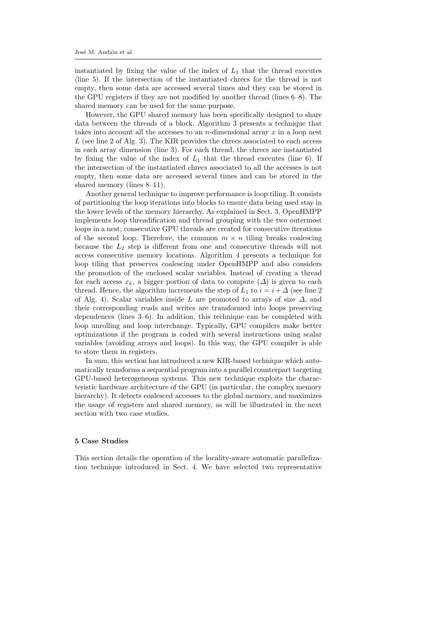instantiated by fixing the value of the index of  $L_1$  that the thread executes (line 5). If the intersection of the instantiated chrecs for the thread is not empty, then some data are accessed several times and they can be stored in the GPU registers if they are not modified by another thread (lines 6–8). The shared memory can be used for the same purpose.

However, the GPU shared memory has been specifically designed to share data between the threads of a block. Algorithm 3 presents a technique that takes into account all the accesses to an *n*-dimensional array  $x$  in a loop nest  $L$  (see line 2 of Alg. 3). The KIR provides the chrecs associated to each access in each array dimension (line 3). For each thread, the chrecs are instantiated by fixing the value of the index of  $L_1$  that the thread executes (line 6). If the intersection of the instantiated chrecs associated to all the accesses is not empty, then some data are accessed several times and can be stored in the shared memory (lines 8–11).

Another general technique to improve performance is loop tiling. It consists of partitioning the loop iterations into blocks to ensure data being used stay in the lower levels of the memory hierarchy. As explained in Sect. 3, OpenHMPP implements loop threadification and thread grouping with the two outermost loops in a nest; consecutive GPU threads are created for consecutive iterations of the second loop. Therefore, the common  $m \times n$  tiling breaks coalescing because the  $L_2$  step is different from one and consecutive threads will not access consecutive memory locations. Algorithm 4 presents a technique for loop tiling that preserves coalescing under OpenHMPP and also considers the promotion of the enclosed scalar variables. Instead of creating a thread for each access  $x_k$ , a bigger portion of data to compute  $(\Delta)$  is given to each thread. Hence, the algorithm increments the step of  $L_1$  to  $i = i + \Delta$  (see line 2) of Alg. 4). Scalar variables inside L are promoted to arrays of size  $\Delta$ , and their corresponding reads and writes are transformed into loops preserving dependences (lines 3–6). In addition, this technique can be completed with loop unrolling and loop interchange. Typically, GPU compilers make better optimizations if the program is coded with several instructions using scalar variables (avoiding arrays and loops). In this way, the GPU compiler is able to store them in registers.

In sum, this section has introduced a new KIR-based technique which automatically transforms a sequential program into a parallel counterpart targeting GPU-based heterogeneous systems. This new technique exploits the characteristic hardware architecture of the GPU (in particular, the complex memory hierarchy). It detects coalesced accesses to the global memory, and maximizes the usage of registers and shared memory, as will be illustrated in the next section with two case studies.

#### 5 Case Studies

This section details the operation of the locality-aware automatic parallelization technique introduced in Sect. 4. We have selected two representative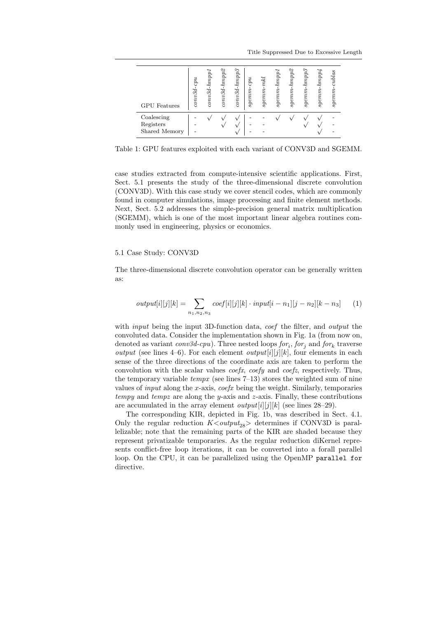| <b>GPU</b> Features                      | $_{cpu}$<br>$conv3d-$ | $conv3d-hmp$ | $conv3d-hmpp2$ | S<br>$conv3d-hmp$ | cpu<br>$sgemn$ - | mkl<br>sgemm | <i>Ampp</i><br>$\mathbf{I}$<br>sgenm | $hmpp\mathcal{Z}$<br>$_{sgennm}$ | S<br>hmpp.<br>$sgenm$ - | raduuy<br>$sgenm$ - | cublas<br>$_{sgennm}$ |
|------------------------------------------|-----------------------|--------------|----------------|-------------------|------------------|--------------|--------------------------------------|----------------------------------|-------------------------|---------------------|-----------------------|
| Coalescing<br>Registers<br>Shared Memory |                       |              |                |                   |                  |              |                                      |                                  |                         |                     |                       |

Table 1: GPU features exploited with each variant of CONV3D and SGEMM.

case studies extracted from compute-intensive scientific applications. First, Sect. 5.1 presents the study of the three-dimensional discrete convolution (CONV3D). With this case study we cover stencil codes, which are commonly found in computer simulations, image processing and finite element methods. Next, Sect. 5.2 addresses the simple-precision general matrix multiplication (SGEMM), which is one of the most important linear algebra routines commonly used in engineering, physics or economics.

#### 5.1 Case Study: CONV3D

The three-dimensional discrete convolution operator can be generally written as:

$$
output[i][j][k] = \sum_{n_1, n_2, n_3} coeff[i][j][k] \cdot input[i - n_1][j - n_2][k - n_3] \tag{1}
$$

with *input* being the input 3D-function data, coef the filter, and *output* the convoluted data. Consider the implementation shown in Fig. 1a (from now on, denoted as variant *conv3d-cpu*). Three nested loops  $for_i$ ,  $for_j$  and  $for_k$  traverse *output* (see lines 4–6). For each element *output*[i][j][k], four elements in each sense of the three directions of the coordinate axis are taken to perform the convolution with the scalar values coefx, coefy and coefz, respectively. Thus, the temporary variable  $tempx$  (see lines  $7-13$ ) stores the weighted sum of nine values of *input* along the  $x$ -axis,  $\cos f x$  being the weight. Similarly, temporaries tempy and tempz are along the y-axis and  $z$ -axis. Finally, these contributions are accumulated in the array element *output*[i][j][k] (see lines  $28-29$ ).

The corresponding KIR, depicted in Fig. 1b, was described in Sect. 4.1. Only the regular reduction  $K <sub>output</sub><sub>28</sub>$  determines if CONV3D is parallelizable; note that the remaining parts of the KIR are shaded because they represent privatizable temporaries. As the regular reduction diKernel represents conflict-free loop iterations, it can be converted into a forall parallel loop. On the CPU, it can be parallelized using the OpenMP parallel for directive.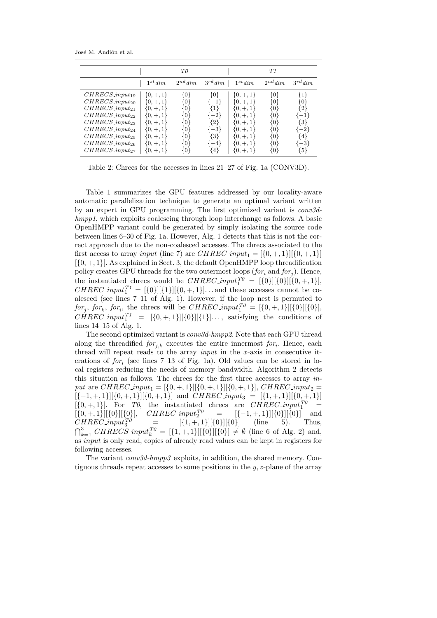José M. Andión et al.

|                                                                                                                                                                                                               |                                                                                                                                      | $T\theta$                                                              |                                                                          |                                                                                                                                      | T1                                                   |                                                                           |
|---------------------------------------------------------------------------------------------------------------------------------------------------------------------------------------------------------------|--------------------------------------------------------------------------------------------------------------------------------------|------------------------------------------------------------------------|--------------------------------------------------------------------------|--------------------------------------------------------------------------------------------------------------------------------------|------------------------------------------------------|---------------------------------------------------------------------------|
|                                                                                                                                                                                                               | $1^{st}$ dim                                                                                                                         | $2^{nd}$ dim                                                           | $3^{rd}$ dim                                                             | $1^{st}$ dim                                                                                                                         | $2^{nd}$ dim                                         | $3^{rd}$ dim                                                              |
| $CHRECS_input_{19}$<br>$CHRECS\_input_{20}$<br>$CHRECS\_input_{21}$<br>$CHRECS\_input_{22}$<br>$CHRECS_input_{23}$<br>$CHRECS\_input_{24}$<br>$CHRECS\_input_{25}$<br>$CHRECS$ <sub>-input<sub>26</sub></sub> | $\{0, +, 1\}$<br>$\{0, +, 1\}$<br>$\{0, +, 1\}$<br>$\{0, +, 1\}$<br>$\{0, +, 1\}$<br>$\{0, +, 1\}$<br>$\{0, +, 1\}$<br>$\{0, +, 1\}$ | $\{0\}$<br>{0}<br>$\{0\}$<br>{0}<br>${0}$<br>{0}<br>$\{0\}$<br>$\{0\}$ | ${0}$<br>$-1$<br>${1}$<br>$\{-2\}$<br>{2}<br>$-3\}$<br>${3}$<br>$\{-4\}$ | $\{0, +, 1\}$<br>$\{0, +, 1\}$<br>$\{0, +, 1\}$<br>$\{0, +, 1\}$<br>$\{0, +, 1\}$<br>$\{0, +, 1\}$<br>$\{0, +, 1\}$<br>$\{0, +, 1\}$ | {0}<br>{0}<br>{0}<br>{0}<br>{0}<br>{0}<br>{0}<br>{0} | {1}<br>{0}<br>$\{2\}$<br>$\{-1\}$<br>{3}<br>$\{-2\}$<br>${4}$<br>$\{-3\}$ |

Table 2: Chrecs for the accesses in lines 21–27 of Fig. 1a (CONV3D).

Table 1 summarizes the GPU features addressed by our locality-aware automatic parallelization technique to generate an optimal variant written by an expert in GPU programming. The first optimized variant is  $conv3d$ hmpp1, which exploits coalescing through loop interchange as follows. A basic OpenHMPP variant could be generated by simply isolating the source code between lines 6–30 of Fig. 1a. However, Alg. 1 detects that this is not the correct approach due to the non-coalesced accesses. The chrecs associated to the first access to array *input* (line 7) are  $CHREC \text{.}$  input<sub>1</sub> =  $[\{0, +, 1\}] [\{0, +, 1\}]$  $[{0, +, 1}]$ . As explained in Sect. 3, the default OpenHMPP loop threadification policy creates GPU threads for the two outermost loops  $(for<sub>i</sub>$  and  $for<sub>j</sub>)$ . Hence, the instantiated chrecs would be  $CHREC\_\_input_1^{T0} = [\{0\}][\{0\}][\{0, +, 1\}],$  $CHREC \text{.} input_1^{T1} = [{0}][{1}][{0, +, 1}]\text{...}$  and these accesses cannot be coalesced (see lines 7–11 of Alg. 1). However, if the loop nest is permuted to for<sub>j</sub>, for<sub>k</sub>, for<sub>i</sub>, the chrecs will be  $CHREC \text{.} input_1^{T0} = [\{0, +, 1\}][\{0\}][\{0\}],$  $CHREC\_\text{input}_1^{T1} = [\{0, +, 1\}][\{0\}][\{1\}]\dots$ , satisfying the conditions of lines 14–15 of Alg. 1.

The second optimized variant is conv3d-hmpp2. Note that each GPU thread along the threadified  $for_{j,k}$  executes the entire innermost  $for_i$ . Hence, each thread will repeat reads to the array *input* in the x-axis in consecutive iterations of  $for_i$  (see lines 7–13 of Fig. 1a). Old values can be stored in local registers reducing the needs of memory bandwidth. Algorithm 2 detects this situation as follows. The chrecs for the first three accesses to array input are CHREC input<sub>1</sub> =  $[\{0, +, 1\}][\{0, +, 1\}][\{0, +, 1\}],$  CHREC input<sub>2</sub> =  $[\{-1, +, 1\}][\{0, +, 1\}][\{0, +, 1\}]$  and  $CHREC \text{.} input_3 = [\{1, +, 1\}][\{0, +, 1\}]$  $[\{0, +, 1\}]$ . For T0, the instantiated chrecs are CHREC input<sup>T0</sup> =  $[\{0,+,1\}][\{0\}][\{0\}], \quad \ \ CHREC\_input^{T0}_2$  $=$  [{-1, +, 1}][{0}][{0}] and<br>0}][{0}] (line 5). Thus,  $\mathit{CHREC}\_\mathit{input}_3^\mathit{TO}$  $=$   $[\{1, +, 1\}][\{0\}][\{0\}]$  $\bigcap_{k=1}^{3} \text{CHRECS}_{\cdot} = [\{1, +, 1\}] [\{0\}] [\{0\}] \neq \emptyset$  (line 6 of Alg. 2) and, as input is only read, copies of already read values can be kept in registers for following accesses.

The variant conv3d-hmpp3 exploits, in addition, the shared memory. Contiguous threads repeat accesses to some positions in the  $y$ ,  $z$ -plane of the array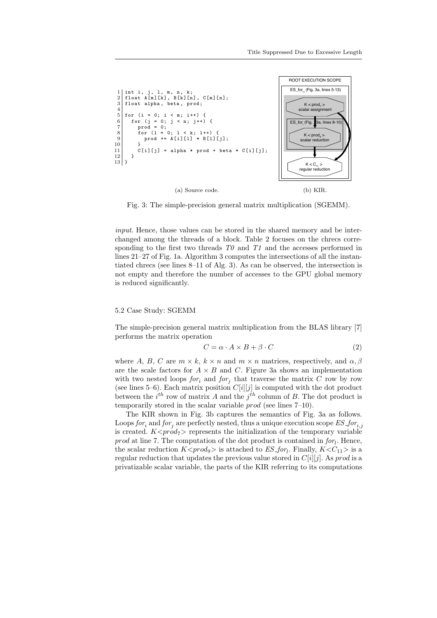

Fig. 3: The simple-precision general matrix multiplication (SGEMM).

input. Hence, those values can be stored in the shared memory and be interchanged among the threads of a block. Table 2 focuses on the chrecs corresponding to the first two threads  $T\theta$  and  $T1$  and the accesses performed in lines 21–27 of Fig. 1a. Algorithm 3 computes the intersections of all the instantiated chrecs (see lines 8–11 of Alg. 3). As can be observed, the intersection is not empty and therefore the number of accesses to the GPU global memory is reduced significantly.

## 5.2 Case Study: SGEMM

The simple-precision general matrix multiplication from the BLAS library [7] performs the matrix operation

$$
C = \alpha \cdot A \times B + \beta \cdot C \tag{2}
$$

where A, B, C are  $m \times k$ ,  $k \times n$  and  $m \times n$  matrices, respectively, and  $\alpha, \beta$ are the scale factors for  $A \times B$  and C. Figure 3a shows an implementation with two nested loops  $for_i$  and  $for_j$  that traverse the matrix C row by row (see lines 5–6). Each matrix position  $C[i][j]$  is computed with the dot product between the  $i^{th}$  row of matrix A and the  $j^{th}$  column of B. The dot product is temporarily stored in the scalar variable prod (see lines 7–10).

The KIR shown in Fig. 3b captures the semantics of Fig. 3a as follows. Loops for, and for, are perfectly nested, thus a unique execution scope  $ES_f$  for is created.  $K < \text{prod}_7 >$  represents the initialization of the temporary variable  $prod$  at line 7. The computation of the dot product is contained in  $for_l$ . Hence, the scalar reduction  $K < prod_9$  is attached to  $ES_for_l$ . Finally,  $K < C_{11}$  is a regular reduction that updates the previous value stored in  $C[i][j]$ . As prod is a privatizable scalar variable, the parts of the KIR referring to its computations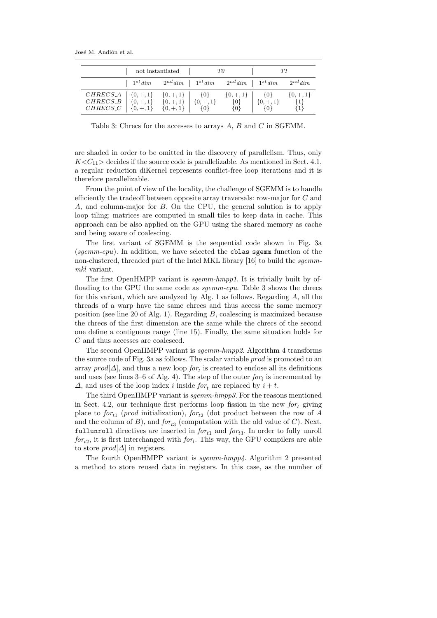|                                                                                                                                                 | not instantiated |                                                                               | TO      |                                                             |                                     |
|-------------------------------------------------------------------------------------------------------------------------------------------------|------------------|-------------------------------------------------------------------------------|---------|-------------------------------------------------------------|-------------------------------------|
|                                                                                                                                                 |                  | $1^{st}$ dim $2^{nd}$ dim $1^{st}$ dim $2^{nd}$ dim $1^{st}$ dim $2^{nd}$ dim |         |                                                             |                                     |
| $CHRECS.A \mid \{0,+,1\} \mid \{0,+,1\} \mid \{0\}$<br>$CHRECS\_B$ $\{0,+,1\}$ $\{0,+,1\}$ $\{0,+,1\}$<br>$CHRECS_C   {0,+,1}   {0,+,1}     0}$ |                  |                                                                               | $\{0\}$ | $\{0, +, 1\}$   $\{0\}$<br>$\{0\}$ $\{0, +, 1\}$<br>$\{0\}$ | $\{0, +, 1\}$<br>$\{1\}$<br>$\{1\}$ |

Table 3: Chrecs for the accesses to arrays A, B and C in SGEMM.

are shaded in order to be omitted in the discovery of parallelism. Thus, only  $K < C_{11}$  decides if the source code is parallelizable. As mentioned in Sect. 4.1, a regular reduction diKernel represents conflict-free loop iterations and it is therefore parallelizable.

From the point of view of the locality, the challenge of SGEMM is to handle efficiently the tradeoff between opposite array traversals: row-major for C and A, and column-major for B. On the CPU, the general solution is to apply loop tiling: matrices are computed in small tiles to keep data in cache. This approach can be also applied on the GPU using the shared memory as cache and being aware of coalescing.

The first variant of SGEMM is the sequential code shown in Fig. 3a (sgemm-cpu). In addition, we have selected the cblas sgemm function of the non-clustered, threaded part of the Intel MKL library [16] to build the *sgemm*mkl variant.

The first OpenHMPP variant is sgemm-hmpp1. It is trivially built by offloading to the GPU the same code as sgemm-cpu. Table 3 shows the chrecs for this variant, which are analyzed by Alg. 1 as follows. Regarding A, all the threads of a warp have the same chrecs and thus access the same memory position (see line 20 of Alg. 1). Regarding B, coalescing is maximized because the chrecs of the first dimension are the same while the chrecs of the second one define a contiguous range (line 15). Finally, the same situation holds for C and thus accesses are coalesced.

The second OpenHMPP variant is *sgemm-hmpp2*. Algorithm 4 transforms the source code of Fig. 3a as follows. The scalar variable prod is promoted to an array  $\text{prod}[\Delta]$ , and thus a new loop  $\text{for}_t$  is created to enclose all its definitions and uses (see lines 3–6 of Alg. 4). The step of the outer  $for_i$  is incremented by  $\Delta$ , and uses of the loop index *i* inside for<sub>t</sub> are replaced by  $i + t$ .

The third OpenHMPP variant is *sgemm-hmpp3*. For the reasons mentioned in Sect. 4.2, our technique first performs loop fission in the new  $for_t$  giving place to  $for_{t_1}$  (prod initialization),  $for_{t_2}$  (dot product between the row of A and the column of  $B$ ), and  $for_{t3}$  (computation with the old value of C). Next, fullunroll directives are inserted in  $for_{t1}$  and  $for_{t3}$ . In order to fully unroll  $for_{t2}$ , it is first interchanged with  $for_l$ . This way, the GPU compilers are able to store  $prod[\Delta]$  in registers.

The fourth OpenHMPP variant is sgemm-hmpp4. Algorithm 2 presented a method to store reused data in registers. In this case, as the number of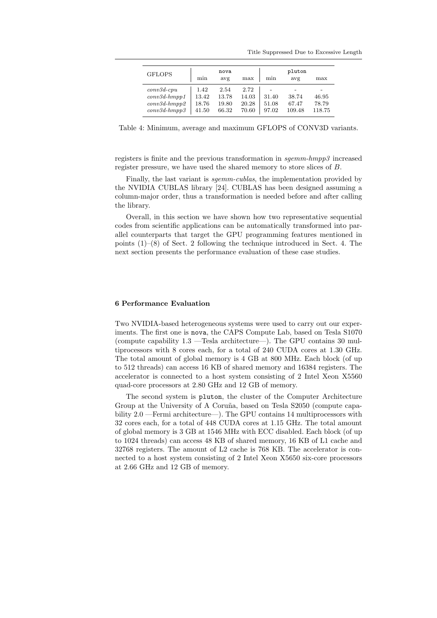Title Suppressed Due to Excessive Length

| <b>GFLOPS</b>                                                     | min                             | nova<br>avg                     | max                             | min                     | pluton<br>avg            | max                      |
|-------------------------------------------------------------------|---------------------------------|---------------------------------|---------------------------------|-------------------------|--------------------------|--------------------------|
| $conv3d$ -cpu<br>$conv3d-hmp1$<br>$conv3d-hmp2$<br>$conv3d-hmp93$ | 1.42<br>13.42<br>18.76<br>41.50 | 2.54<br>13.78<br>19.80<br>66.32 | 2.72<br>14.03<br>20.28<br>70.60 | 31.40<br>51.08<br>97.02 | 38.74<br>67.47<br>109.48 | 46.95<br>78.79<br>118.75 |

Table 4: Minimum, average and maximum GFLOPS of CONV3D variants.

registers is finite and the previous transformation in sgemm-hmpp3 increased register pressure, we have used the shared memory to store slices of B.

Finally, the last variant is sgemm-cublas, the implementation provided by the NVIDIA CUBLAS library [24]. CUBLAS has been designed assuming a column-major order, thus a transformation is needed before and after calling the library.

Overall, in this section we have shown how two representative sequential codes from scientific applications can be automatically transformed into parallel counterparts that target the GPU programming features mentioned in points  $(1)$ – $(8)$  of Sect. 2 following the technique introduced in Sect. 4. The next section presents the performance evaluation of these case studies.

# 6 Performance Evaluation

Two NVIDIA-based heterogeneous systems were used to carry out our experiments. The first one is nova, the CAPS Compute Lab, based on Tesla S1070 (compute capability 1.3 —Tesla architecture—). The GPU contains 30 multiprocessors with 8 cores each, for a total of 240 CUDA cores at 1.30 GHz. The total amount of global memory is 4 GB at 800 MHz. Each block (of up to 512 threads) can access 16 KB of shared memory and 16384 registers. The accelerator is connected to a host system consisting of 2 Intel Xeon X5560 quad-core processors at 2.80 GHz and 12 GB of memory.

The second system is pluton, the cluster of the Computer Architecture Group at the University of A Coruña, based on Tesla S2050 (compute capability 2.0 —Fermi architecture—). The GPU contains 14 multiprocessors with 32 cores each, for a total of 448 CUDA cores at 1.15 GHz. The total amount of global memory is 3 GB at 1546 MHz with ECC disabled. Each block (of up to 1024 threads) can access 48 KB of shared memory, 16 KB of L1 cache and 32768 registers. The amount of L2 cache is 768 KB. The accelerator is connected to a host system consisting of 2 Intel Xeon X5650 six-core processors at 2.66 GHz and 12 GB of memory.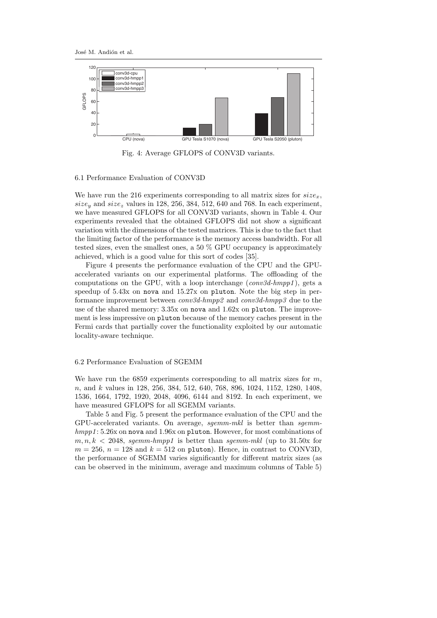

Fig. 4: Average GFLOPS of CONV3D variants.

#### 6.1 Performance Evaluation of CONV3D

We have run the 216 experiments corresponding to all matrix sizes for  $size_x$ ,  $size_y$  and  $size_z$  values in 128, 256, 384, 512, 640 and 768. In each experiment, we have measured GFLOPS for all CONV3D variants, shown in Table 4. Our experiments revealed that the obtained GFLOPS did not show a significant variation with the dimensions of the tested matrices. This is due to the fact that the limiting factor of the performance is the memory access bandwidth. For all tested sizes, even the smallest ones, a 50 % GPU occupancy is approximately achieved, which is a good value for this sort of codes [35].

Figure 4 presents the performance evaluation of the CPU and the GPUaccelerated variants on our experimental platforms. The offloading of the computations on the GPU, with a loop interchange  $(conv3d-hmpp1)$ , gets a speedup of 5.43x on nova and 15.27x on pluton. Note the big step in performance improvement between conv3d-hmpp2 and conv3d-hmpp3 due to the use of the shared memory: 3.35x on nova and 1.62x on pluton. The improvement is less impressive on pluton because of the memory caches present in the Fermi cards that partially cover the functionality exploited by our automatic locality-aware technique.

#### 6.2 Performance Evaluation of SGEMM

We have run the  $6859$  experiments corresponding to all matrix sizes for m, n, and k values in 128, 256, 384, 512, 640, 768, 896, 1024, 1152, 1280, 1408, 1536, 1664, 1792, 1920, 2048, 4096, 6144 and 8192. In each experiment, we have measured GFLOPS for all SGEMM variants.

Table 5 and Fig. 5 present the performance evaluation of the CPU and the GPU-accelerated variants. On average, sgemm-mkl is better than sgemm $hmpp1: 5.26x$  on nova and 1.96x on pluton. However, for most combinations of  $m, n, k < 2048$ , sgemm-hmpp1 is better than sgemm-mkl (up to 31.50x for  $m = 256$ ,  $n = 128$  and  $k = 512$  on pluton). Hence, in contrast to CONV3D, the performance of SGEMM varies significantly for different matrix sizes (as can be observed in the minimum, average and maximum columns of Table 5)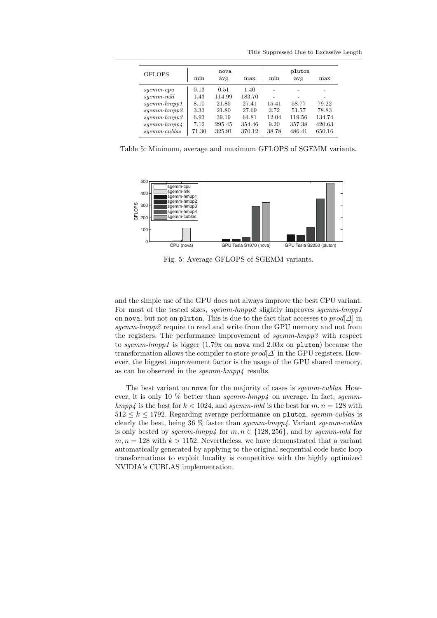Title Suppressed Due to Excessive Length

| <b>GFLOPS</b>   |                  | nova   |        | pluton |        |        |  |
|-----------------|------------------|--------|--------|--------|--------|--------|--|
|                 | m <sub>1</sub> n | avg    | max    | min    | avg    | max    |  |
| $sqemm$ - $cpu$ | 0.13             | 0.51   | 1.40   |        |        |        |  |
| $^{sgemm-mkl}$  | 1.43             | 114.99 | 183.70 |        |        |        |  |
| $sqemm-hmpp1$   | 8.10             | 21.85  | 27.41  | 15.41  | 58.77  | 79.22  |  |
| $sqemm-hmp2$    | 3.33             | 21.80  | 27.69  | 3.72   | 51.57  | 78.83  |  |
| $sqemm-hmp3$    | 6.93             | 39.19  | 64.81  | 12.04  | 119.56 | 134.74 |  |
| $sqemm-hmpp4$   | 7.12             | 295.45 | 354.46 | 9.20   | 357.38 | 420.63 |  |
| $sqemm-cublas$  | 71.30            | 325.91 | 370.12 | 38.78  | 486.41 | 650.16 |  |

Table 5: Minimum, average and maximum GFLOPS of SGEMM variants.



Fig. 5: Average GFLOPS of SGEMM variants.

and the simple use of the GPU does not always improve the best CPU variant. For most of the tested sizes, sgemm-hmpp2 slightly improves sgemm-hmpp1 on nova, but not on pluton. This is due to the fact that accesses to  $\text{prod}[\Delta]$  in sgemm-hmpp2 require to read and write from the GPU memory and not from the registers. The performance improvement of sgemm-hmpp3 with respect to sgemm-hmpp1 is bigger (1.79x on nova and 2.03x on pluton) because the transformation allows the compiler to store  $prod[\Delta]$  in the GPU registers. However, the biggest improvement factor is the usage of the GPU shared memory, as can be observed in the sgemm-hmpp4 results.

The best variant on nova for the majority of cases is sgemm-cublas. However, it is only 10  $\%$  better than sgemm-hmpp4 on average. In fact, sgemm $hmpp4$  is the best for  $k < 1024$ , and sgemm-mkl is the best for  $m, n = 128$  with  $512 \leq k \leq 1792$ . Regarding average performance on pluton, sgemm-cubles is clearly the best, being 36 % faster than sgemm-hmpp4. Variant sgemm-cublas is only bested by sgemm-hmpp4 for  $m, n \in \{128, 256\}$ , and by sgemm-mkl for  $m, n = 128$  with  $k > 1152$ . Nevertheless, we have demonstrated that a variant automatically generated by applying to the original sequential code basic loop transformations to exploit locality is competitive with the highly optimized NVIDIA's CUBLAS implementation.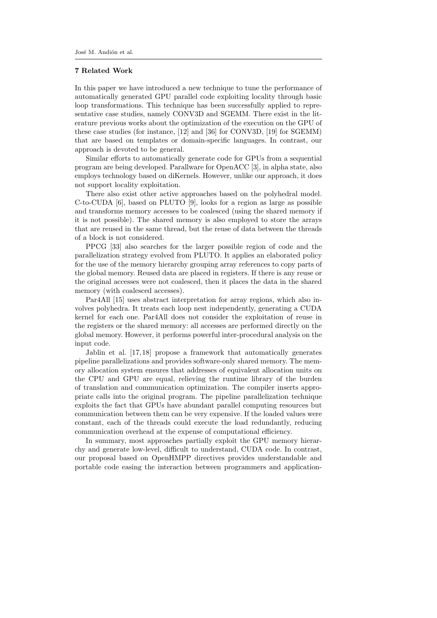## 7 Related Work

In this paper we have introduced a new technique to tune the performance of automatically generated GPU parallel code exploiting locality through basic loop transformations. This technique has been successfully applied to representative case studies, namely CONV3D and SGEMM. There exist in the literature previous works about the optimization of the execution on the GPU of these case studies (for instance, [12] and [36] for CONV3D, [19] for SGEMM) that are based on templates or domain-specific languages. In contrast, our approach is devoted to be general.

Similar efforts to automatically generate code for GPUs from a sequential program are being developed. Parallware for OpenACC [3], in alpha state, also employs technology based on diKernels. However, unlike our approach, it does not support locality exploitation.

There also exist other active approaches based on the polyhedral model. C-to-CUDA [6], based on PLUTO [9], looks for a region as large as possible and transforms memory accesses to be coalesced (using the shared memory if it is not possible). The shared memory is also employed to store the arrays that are reused in the same thread, but the reuse of data between the threads of a block is not considered.

PPCG [33] also searches for the larger possible region of code and the parallelization strategy evolved from PLUTO. It applies an elaborated policy for the use of the memory hierarchy grouping array references to copy parts of the global memory. Reused data are placed in registers. If there is any reuse or the original accesses were not coalesced, then it places the data in the shared memory (with coalesced accesses).

Par4All [15] uses abstract interpretation for array regions, which also involves polyhedra. It treats each loop nest independently, generating a CUDA kernel for each one. Par4All does not consider the exploitation of reuse in the registers or the shared memory: all accesses are performed directly on the global memory. However, it performs powerful inter-procedural analysis on the input code.

Jablin et al. [17, 18] propose a framework that automatically generates pipeline parallelizations and provides software-only shared memory. The memory allocation system ensures that addresses of equivalent allocation units on the CPU and GPU are equal, relieving the runtime library of the burden of translation and communication optimization. The compiler inserts appropriate calls into the original program. The pipeline parallelization technique exploits the fact that GPUs have abundant parallel computing resources but communication between them can be very expensive. If the loaded values were constant, each of the threads could execute the load redundantly, reducing communication overhead at the expense of computational efficiency.

In summary, most approaches partially exploit the GPU memory hierarchy and generate low-level, difficult to understand, CUDA code. In contrast, our proposal based on OpenHMPP directives provides understandable and portable code easing the interaction between programmers and application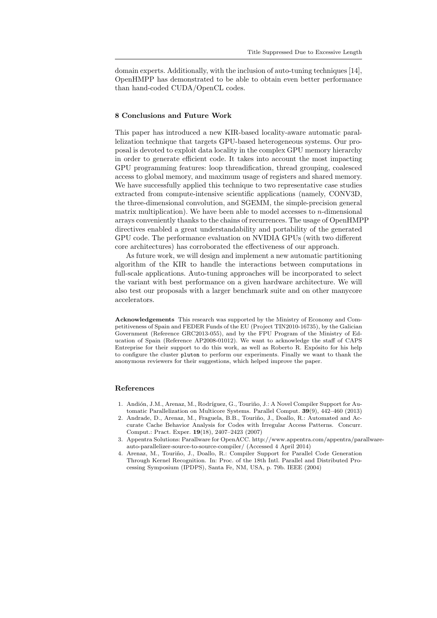domain experts. Additionally, with the inclusion of auto-tuning techniques [14], OpenHMPP has demonstrated to be able to obtain even better performance than hand-coded CUDA/OpenCL codes.

#### 8 Conclusions and Future Work

This paper has introduced a new KIR-based locality-aware automatic parallelization technique that targets GPU-based heterogeneous systems. Our proposal is devoted to exploit data locality in the complex GPU memory hierarchy in order to generate efficient code. It takes into account the most impacting GPU programming features: loop threadification, thread grouping, coalesced access to global memory, and maximum usage of registers and shared memory. We have successfully applied this technique to two representative case studies extracted from compute-intensive scientific applications (namely, CONV3D, the three-dimensional convolution, and SGEMM, the simple-precision general matrix multiplication). We have been able to model accesses to  $n$ -dimensional arrays conveniently thanks to the chains of recurrences. The usage of OpenHMPP directives enabled a great understandability and portability of the generated GPU code. The performance evaluation on NVIDIA GPUs (with two different core architectures) has corroborated the effectiveness of our approach.

As future work, we will design and implement a new automatic partitioning algorithm of the KIR to handle the interactions between computations in full-scale applications. Auto-tuning approaches will be incorporated to select the variant with best performance on a given hardware architecture. We will also test our proposals with a larger benchmark suite and on other manycore accelerators.

Acknowledgements This research was supported by the Ministry of Economy and Competitiveness of Spain and FEDER Funds of the EU (Project TIN2010-16735), by the Galician Government (Reference GRC2013-055), and by the FPU Program of the Ministry of Education of Spain (Reference AP2008-01012). We want to acknowledge the staff of CAPS Entreprise for their support to do this work, as well as Roberto R. Expósito for his help to configure the cluster pluton to perform our experiments. Finally we want to thank the anonymous reviewers for their suggestions, which helped improve the paper.

## References

- 1. Andión, J.M., Arenaz, M., Rodríguez, G., Touriño, J.: A Novel Compiler Support for Automatic Parallelization on Multicore Systems. Parallel Comput. 39(9), 442–460 (2013)
- 2. Andrade, D., Arenaz, M., Fraguela, B.B., Touriño, J., Doallo, R.: Automated and Accurate Cache Behavior Analysis for Codes with Irregular Access Patterns. Concurr. Comput.: Pract. Exper. 19(18), 2407–2423 (2007)
- 3. Appentra Solutions: Parallware for OpenACC. http://www.appentra.com/appentra/parallwareauto-parallelizer-source-to-source-compiler/ (Accessed 4 April 2014)
- 4. Arenaz, M., Touriño, J., Doallo, R.: Compiler Support for Parallel Code Generation Through Kernel Recognition. In: Proc. of the 18th Intl. Parallel and Distributed Processing Symposium (IPDPS), Santa Fe, NM, USA, p. 79b. IEEE (2004)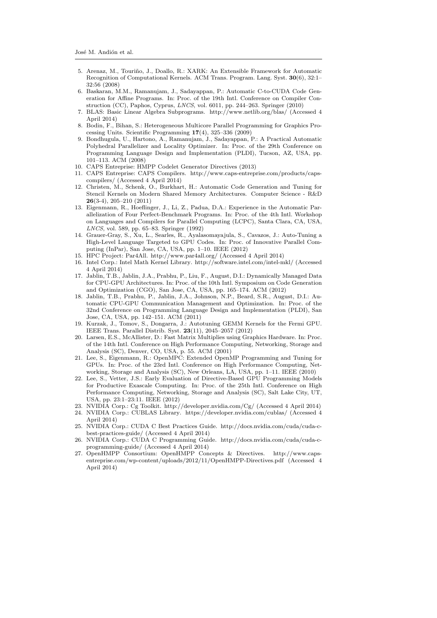- 5. Arenaz, M., Touriño, J., Doallo, R.: XARK: An Extensible Framework for Automatic Recognition of Computational Kernels. ACM Trans. Program. Lang. Syst. 30(6), 32:1– 32:56 (2008)
- 6. Baskaran, M.M., Ramanujam, J., Sadayappan, P.: Automatic C-to-CUDA Code Generation for Affine Programs. In: Proc. of the 19th Intl. Conference on Compiler Construction (CC), Paphos, Cyprus, LNCS, vol. 6011, pp. 244–263. Springer (2010)
- 7. BLAS: Basic Linear Algebra Subprograms. http://www.netlib.org/blas/ (Accessed 4 April 2014)
- 8. Bodin, F., Bihan, S.: Heterogeneous Multicore Parallel Programming for Graphics Processing Units. Scientific Programming 17(4), 325–336 (2009)
- 9. Bondhugula, U., Hartono, A., Ramanujam, J., Sadayappan, P.: A Practical Automatic Polyhedral Parallelizer and Locality Optimizer. In: Proc. of the 29th Conference on Programming Language Design and Implementation (PLDI), Tucson, AZ, USA, pp. 101–113. ACM (2008)
- 10. CAPS Entreprise: HMPP Codelet Generator Directives (2013)
- 11. CAPS Entreprise: CAPS Compilers. http://www.caps-entreprise.com/products/capscompilers/ (Accessed 4 April 2014)
- 12. Christen, M., Schenk, O., Burkhart, H.: Automatic Code Generation and Tuning for Stencil Kernels on Modern Shared Memory Architectures. Computer Science - R&D 26(3-4), 205–210 (2011)
- 13. Eigenmann, R., Hoeflinger, J., Li, Z., Padua, D.A.: Experience in the Automatic Parallelization of Four Perfect-Benchmark Programs. In: Proc. of the 4th Intl. Workshop on Languages and Compilers for Parallel Computing (LCPC), Santa Clara, CA, USA, LNCS, vol. 589, pp. 65–83. Springer (1992)
- 14. Grauer-Gray, S., Xu, L., Searles, R., Ayalasomayajula, S., Cavazos, J.: Auto-Tuning a High-Level Language Targeted to GPU Codes. In: Proc. of Innovative Parallel Computing (InPar), San Jose, CA, USA, pp. 1–10. IEEE (2012)
- 15. HPC Project: Par4All. http://www.par4all.org/ (Accessed 4 April 2014)
- 16. Intel Corp.: Intel Math Kernel Library. http://software.intel.com/intel-mkl/ (Accessed 4 April 2014)
- 17. Jablin, T.B., Jablin, J.A., Prabhu, P., Liu, F., August, D.I.: Dynamically Managed Data for CPU-GPU Architectures. In: Proc. of the 10th Intl. Symposium on Code Generation and Optimization (CGO), San Jose, CA, USA, pp. 165–174. ACM (2012)
- 18. Jablin, T.B., Prabhu, P., Jablin, J.A., Johnson, N.P., Beard, S.R., August, D.I.: Automatic CPU-GPU Communication Management and Optimization. In: Proc. of the 32nd Conference on Programming Language Design and Implementation (PLDI), San Jose, CA, USA, pp. 142–151. ACM (2011)
- 19. Kurzak, J., Tomov, S., Dongarra, J.: Autotuning GEMM Kernels for the Fermi GPU. IEEE Trans. Parallel Distrib. Syst. 23(11), 2045–2057 (2012)
- 20. Larsen, E.S., McAllister, D.: Fast Matrix Multiplies using Graphics Hardware. In: Proc. of the 14th Intl. Conference on High Performance Computing, Networking, Storage and Analysis (SC), Denver, CO, USA, p. 55. ACM (2001)
- 21. Lee, S., Eigenmann, R.: OpenMPC: Extended OpenMP Programming and Tuning for GPUs. In: Proc. of the 23rd Intl. Conference on High Performance Computing, Networking, Storage and Analysis (SC), New Orleans, LA, USA, pp. 1–11. IEEE (2010)
- 22. Lee, S., Vetter, J.S.: Early Evaluation of Directive-Based GPU Programming Models for Productive Exascale Computing. In: Proc. of the 25th Intl. Conference on High Performance Computing, Networking, Storage and Analysis (SC), Salt Lake City, UT, USA, pp. 23:1–23:11. IEEE (2012)
- 23. NVIDIA Corp.: Cg Toolkit. http://developer.nvidia.com/Cg/ (Accessed 4 April 2014)
- 24. NVIDIA Corp.: CUBLAS Library. https://developer.nvidia.com/cublas/ (Accessed 4 April 2014)
- 25. NVIDIA Corp.: CUDA C Best Practices Guide. http://docs.nvidia.com/cuda/cuda-cbest-practices-guide/ (Accessed 4 April 2014)
- 26. NVIDIA Corp.: CUDA C Programming Guide. http://docs.nvidia.com/cuda/cuda-cprogramming-guide/ (Accessed 4 April 2014)
- 27. OpenHMPP Consortium: OpenHMPP Concepts & Directives. http://www.capsentreprise.com/wp-content/uploads/2012/11/OpenHMPP-Directives.pdf (Accessed 4 April 2014)